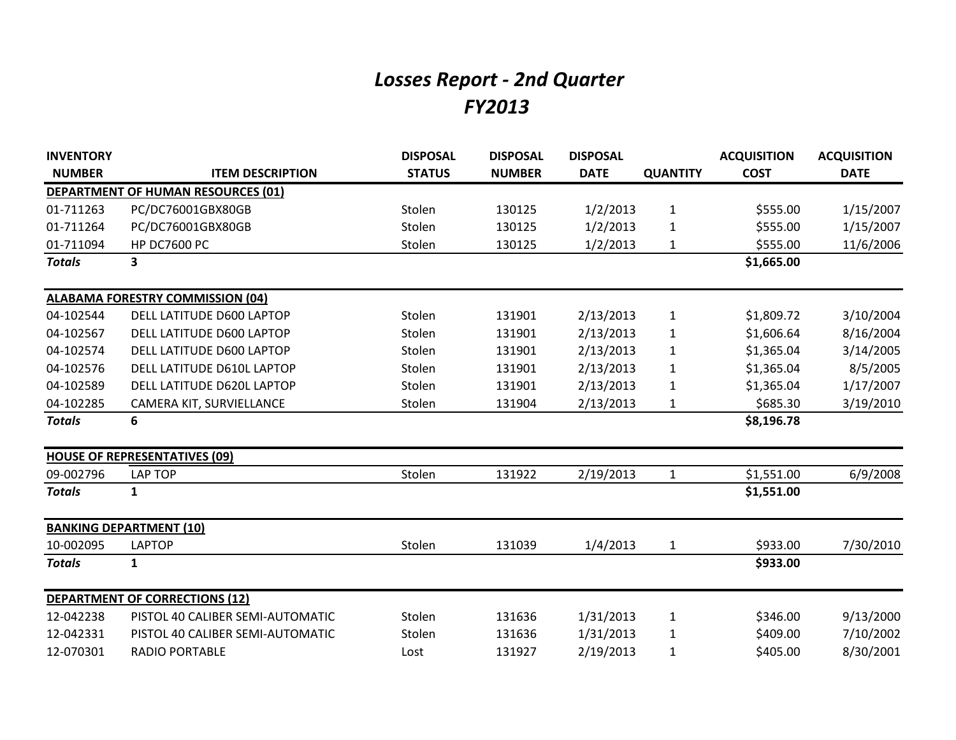## *Losses Report - 2nd Quarter FY2013*

| <b>INVENTORY</b> |                                           | <b>DISPOSAL</b> | <b>DISPOSAL</b> | <b>DISPOSAL</b> |                 | <b>ACQUISITION</b> | <b>ACQUISITION</b> |
|------------------|-------------------------------------------|-----------------|-----------------|-----------------|-----------------|--------------------|--------------------|
| <b>NUMBER</b>    | <b>ITEM DESCRIPTION</b>                   | <b>STATUS</b>   | <b>NUMBER</b>   | <b>DATE</b>     | <b>QUANTITY</b> | <b>COST</b>        | <b>DATE</b>        |
|                  | <b>DEPARTMENT OF HUMAN RESOURCES (01)</b> |                 |                 |                 |                 |                    |                    |
| 01-711263        | PC/DC76001GBX80GB                         | Stolen          | 130125          | 1/2/2013        | $\mathbf{1}$    | \$555.00           | 1/15/2007          |
| 01-711264        | PC/DC76001GBX80GB                         | Stolen          | 130125          | 1/2/2013        | 1               | \$555.00           | 1/15/2007          |
| 01-711094        | <b>HP DC7600 PC</b>                       | Stolen          | 130125          | 1/2/2013        | $\mathbf{1}$    | \$555.00           | 11/6/2006          |
| <b>Totals</b>    | 3                                         |                 |                 |                 |                 | \$1,665.00         |                    |
|                  | <b>ALABAMA FORESTRY COMMISSION (04)</b>   |                 |                 |                 |                 |                    |                    |
| 04-102544        | DELL LATITUDE D600 LAPTOP                 | Stolen          | 131901          | 2/13/2013       | $\mathbf{1}$    | \$1,809.72         | 3/10/2004          |
| 04-102567        | DELL LATITUDE D600 LAPTOP                 | Stolen          | 131901          | 2/13/2013       | 1               | \$1,606.64         | 8/16/2004          |
| 04-102574        | DELL LATITUDE D600 LAPTOP                 | Stolen          | 131901          | 2/13/2013       | 1               | \$1,365.04         | 3/14/2005          |
| 04-102576        | DELL LATITUDE D610L LAPTOP                | Stolen          | 131901          | 2/13/2013       | 1               | \$1,365.04         | 8/5/2005           |
| 04-102589        | DELL LATITUDE D620L LAPTOP                | Stolen          | 131901          | 2/13/2013       | $\mathbf{1}$    | \$1,365.04         | 1/17/2007          |
| 04-102285        | CAMERA KIT, SURVIELLANCE                  | Stolen          | 131904          | 2/13/2013       | 1               | \$685.30           | 3/19/2010          |
| <b>Totals</b>    | 6                                         |                 |                 |                 |                 | \$8,196.78         |                    |
|                  | <b>HOUSE OF REPRESENTATIVES (09)</b>      |                 |                 |                 |                 |                    |                    |
| 09-002796        | <b>LAP TOP</b>                            | Stolen          | 131922          | 2/19/2013       | $\mathbf{1}$    | \$1,551.00         | 6/9/2008           |
| <b>Totals</b>    | 1                                         |                 |                 |                 |                 | \$1,551.00         |                    |
|                  | <b>BANKING DEPARTMENT (10)</b>            |                 |                 |                 |                 |                    |                    |
| 10-002095        | <b>LAPTOP</b>                             | Stolen          | 131039          | 1/4/2013        | $\mathbf{1}$    | \$933.00           | 7/30/2010          |
| <b>Totals</b>    | $\mathbf{1}$                              |                 |                 |                 |                 | \$933.00           |                    |
|                  | <b>DEPARTMENT OF CORRECTIONS (12)</b>     |                 |                 |                 |                 |                    |                    |
| 12-042238        | PISTOL 40 CALIBER SEMI-AUTOMATIC          | Stolen          | 131636          | 1/31/2013       | $\mathbf{1}$    | \$346.00           | 9/13/2000          |
| 12-042331        | PISTOL 40 CALIBER SEMI-AUTOMATIC          | Stolen          | 131636          | 1/31/2013       | 1               | \$409.00           | 7/10/2002          |
| 12-070301        | <b>RADIO PORTABLE</b>                     | Lost            | 131927          | 2/19/2013       | 1               | \$405.00           | 8/30/2001          |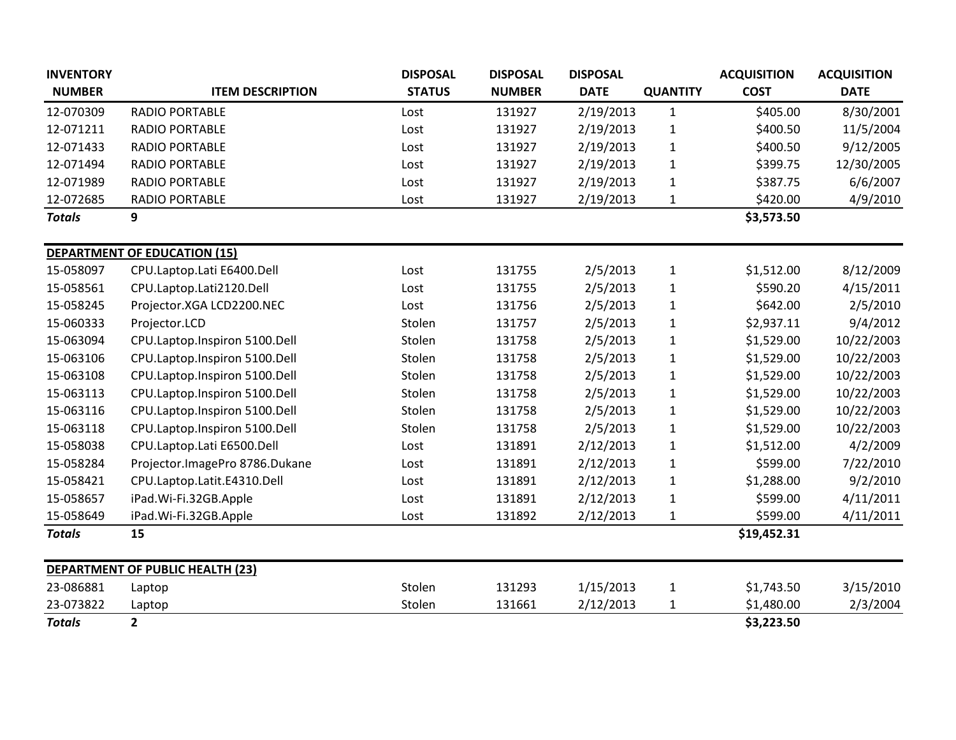| <b>INVENTORY</b> |                                         | <b>DISPOSAL</b> | <b>DISPOSAL</b> | <b>DISPOSAL</b> |                 | <b>ACQUISITION</b> | <b>ACQUISITION</b> |
|------------------|-----------------------------------------|-----------------|-----------------|-----------------|-----------------|--------------------|--------------------|
| <b>NUMBER</b>    | <b>ITEM DESCRIPTION</b>                 | <b>STATUS</b>   | <b>NUMBER</b>   | <b>DATE</b>     | <b>QUANTITY</b> | <b>COST</b>        | <b>DATE</b>        |
| 12-070309        | <b>RADIO PORTABLE</b>                   | Lost            | 131927          | 2/19/2013       | $\mathbf{1}$    | \$405.00           | 8/30/2001          |
| 12-071211        | <b>RADIO PORTABLE</b>                   | Lost            | 131927          | 2/19/2013       | 1               | \$400.50           | 11/5/2004          |
| 12-071433        | <b>RADIO PORTABLE</b>                   | Lost            | 131927          | 2/19/2013       | $\mathbf{1}$    | \$400.50           | 9/12/2005          |
| 12-071494        | <b>RADIO PORTABLE</b>                   | Lost            | 131927          | 2/19/2013       | $\mathbf{1}$    | \$399.75           | 12/30/2005         |
| 12-071989        | <b>RADIO PORTABLE</b>                   | Lost            | 131927          | 2/19/2013       | $\mathbf{1}$    | \$387.75           | 6/6/2007           |
| 12-072685        | <b>RADIO PORTABLE</b>                   | Lost            | 131927          | 2/19/2013       | $\mathbf{1}$    | \$420.00           | 4/9/2010           |
| <b>Totals</b>    | 9                                       |                 |                 |                 |                 | \$3,573.50         |                    |
|                  | <b>DEPARTMENT OF EDUCATION (15)</b>     |                 |                 |                 |                 |                    |                    |
| 15-058097        | CPU.Laptop.Lati E6400.Dell              | Lost            | 131755          | 2/5/2013        | $\mathbf{1}$    | \$1,512.00         | 8/12/2009          |
| 15-058561        | CPU.Laptop.Lati2120.Dell                | Lost            | 131755          | 2/5/2013        | $\mathbf{1}$    | \$590.20           | 4/15/2011          |
| 15-058245        | Projector.XGA LCD2200.NEC               | Lost            | 131756          | 2/5/2013        | $\mathbf{1}$    | \$642.00           | 2/5/2010           |
| 15-060333        | Projector.LCD                           | Stolen          | 131757          | 2/5/2013        | $\mathbf{1}$    | \$2,937.11         | 9/4/2012           |
| 15-063094        | CPU.Laptop.Inspiron 5100.Dell           | Stolen          | 131758          | 2/5/2013        | $\mathbf{1}$    | \$1,529.00         | 10/22/2003         |
| 15-063106        | CPU.Laptop.Inspiron 5100.Dell           | Stolen          | 131758          | 2/5/2013        | $\mathbf 1$     | \$1,529.00         | 10/22/2003         |
| 15-063108        | CPU.Laptop.Inspiron 5100.Dell           | Stolen          | 131758          | 2/5/2013        | $\mathbf{1}$    | \$1,529.00         | 10/22/2003         |
| 15-063113        | CPU.Laptop.Inspiron 5100.Dell           | Stolen          | 131758          | 2/5/2013        | $\mathbf{1}$    | \$1,529.00         | 10/22/2003         |
| 15-063116        | CPU.Laptop.Inspiron 5100.Dell           | Stolen          | 131758          | 2/5/2013        | $\mathbf{1}$    | \$1,529.00         | 10/22/2003         |
| 15-063118        | CPU.Laptop.Inspiron 5100.Dell           | Stolen          | 131758          | 2/5/2013        | $\mathbf{1}$    | \$1,529.00         | 10/22/2003         |
| 15-058038        | CPU.Laptop.Lati E6500.Dell              | Lost            | 131891          | 2/12/2013       | $\mathbf{1}$    | \$1,512.00         | 4/2/2009           |
| 15-058284        | Projector.ImagePro 8786.Dukane          | Lost            | 131891          | 2/12/2013       | $\mathbf{1}$    | \$599.00           | 7/22/2010          |
| 15-058421        | CPU.Laptop.Latit.E4310.Dell             | Lost            | 131891          | 2/12/2013       | $\mathbf{1}$    | \$1,288.00         | 9/2/2010           |
| 15-058657        | iPad.Wi-Fi.32GB.Apple                   | Lost            | 131891          | 2/12/2013       | $\mathbf{1}$    | \$599.00           | 4/11/2011          |
| 15-058649        | iPad.Wi-Fi.32GB.Apple                   | Lost            | 131892          | 2/12/2013       | 1               | \$599.00           | 4/11/2011          |
| <b>Totals</b>    | 15                                      |                 |                 |                 |                 | \$19,452.31        |                    |
|                  | <b>DEPARTMENT OF PUBLIC HEALTH (23)</b> |                 |                 |                 |                 |                    |                    |
| 23-086881        | Laptop                                  | Stolen          | 131293          | 1/15/2013       | $\mathbf{1}$    | \$1,743.50         | 3/15/2010          |
| 23-073822        | Laptop                                  | Stolen          | 131661          | 2/12/2013       | $\mathbf{1}$    | \$1,480.00         | 2/3/2004           |
| <b>Totals</b>    | 2 <sup>1</sup>                          |                 |                 |                 |                 | \$3,223.50         |                    |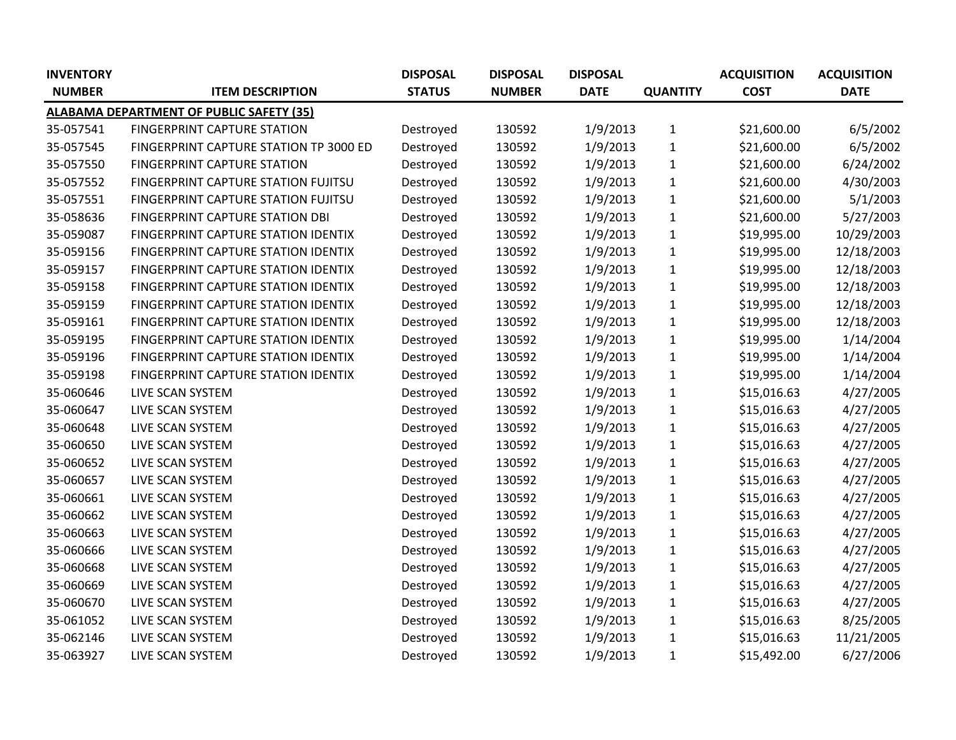| <b>INVENTORY</b> |                                                 | <b>DISPOSAL</b> | <b>DISPOSAL</b> | <b>DISPOSAL</b> |                 | <b>ACQUISITION</b> | <b>ACQUISITION</b> |
|------------------|-------------------------------------------------|-----------------|-----------------|-----------------|-----------------|--------------------|--------------------|
| <b>NUMBER</b>    | <b>ITEM DESCRIPTION</b>                         | <b>STATUS</b>   | <b>NUMBER</b>   | <b>DATE</b>     | <b>QUANTITY</b> | <b>COST</b>        | <b>DATE</b>        |
|                  | <b>ALABAMA DEPARTMENT OF PUBLIC SAFETY (35)</b> |                 |                 |                 |                 |                    |                    |
| 35-057541        | <b>FINGERPRINT CAPTURE STATION</b>              | Destroyed       | 130592          | 1/9/2013        | $\mathbf{1}$    | \$21,600.00        | 6/5/2002           |
| 35-057545        | FINGERPRINT CAPTURE STATION TP 3000 ED          | Destroyed       | 130592          | 1/9/2013        | $\mathbf{1}$    | \$21,600.00        | 6/5/2002           |
| 35-057550        | <b>FINGERPRINT CAPTURE STATION</b>              | Destroyed       | 130592          | 1/9/2013        | $\mathbf{1}$    | \$21,600.00        | 6/24/2002          |
| 35-057552        | FINGERPRINT CAPTURE STATION FUJITSU             | Destroyed       | 130592          | 1/9/2013        | $\mathbf{1}$    | \$21,600.00        | 4/30/2003          |
| 35-057551        | FINGERPRINT CAPTURE STATION FUJITSU             | Destroyed       | 130592          | 1/9/2013        | $\mathbf 1$     | \$21,600.00        | 5/1/2003           |
| 35-058636        | FINGERPRINT CAPTURE STATION DBI                 | Destroyed       | 130592          | 1/9/2013        | $\mathbf{1}$    | \$21,600.00        | 5/27/2003          |
| 35-059087        | FINGERPRINT CAPTURE STATION IDENTIX             | Destroyed       | 130592          | 1/9/2013        | $\mathbf{1}$    | \$19,995.00        | 10/29/2003         |
| 35-059156        | FINGERPRINT CAPTURE STATION IDENTIX             | Destroyed       | 130592          | 1/9/2013        | $\mathbf{1}$    | \$19,995.00        | 12/18/2003         |
| 35-059157        | FINGERPRINT CAPTURE STATION IDENTIX             | Destroyed       | 130592          | 1/9/2013        | $\mathbf{1}$    | \$19,995.00        | 12/18/2003         |
| 35-059158        | FINGERPRINT CAPTURE STATION IDENTIX             | Destroyed       | 130592          | 1/9/2013        | $\mathbf{1}$    | \$19,995.00        | 12/18/2003         |
| 35-059159        | FINGERPRINT CAPTURE STATION IDENTIX             | Destroyed       | 130592          | 1/9/2013        | $\mathbf 1$     | \$19,995.00        | 12/18/2003         |
| 35-059161        | FINGERPRINT CAPTURE STATION IDENTIX             | Destroyed       | 130592          | 1/9/2013        | $\mathbf{1}$    | \$19,995.00        | 12/18/2003         |
| 35-059195        | FINGERPRINT CAPTURE STATION IDENTIX             | Destroyed       | 130592          | 1/9/2013        | $\mathbf{1}$    | \$19,995.00        | 1/14/2004          |
| 35-059196        | FINGERPRINT CAPTURE STATION IDENTIX             | Destroyed       | 130592          | 1/9/2013        | $\mathbf{1}$    | \$19,995.00        | 1/14/2004          |
| 35-059198        | FINGERPRINT CAPTURE STATION IDENTIX             | Destroyed       | 130592          | 1/9/2013        | $\mathbf 1$     | \$19,995.00        | 1/14/2004          |
| 35-060646        | LIVE SCAN SYSTEM                                | Destroyed       | 130592          | 1/9/2013        | $\mathbf{1}$    | \$15,016.63        | 4/27/2005          |
| 35-060647        | LIVE SCAN SYSTEM                                | Destroyed       | 130592          | 1/9/2013        | $\mathbf{1}$    | \$15,016.63        | 4/27/2005          |
| 35-060648        | LIVE SCAN SYSTEM                                | Destroyed       | 130592          | 1/9/2013        | $\mathbf{1}$    | \$15,016.63        | 4/27/2005          |
| 35-060650        | LIVE SCAN SYSTEM                                | Destroyed       | 130592          | 1/9/2013        | $\mathbf{1}$    | \$15,016.63        | 4/27/2005          |
| 35-060652        | LIVE SCAN SYSTEM                                | Destroyed       | 130592          | 1/9/2013        | $\mathbf{1}$    | \$15,016.63        | 4/27/2005          |
| 35-060657        | LIVE SCAN SYSTEM                                | Destroyed       | 130592          | 1/9/2013        | $\mathbf 1$     | \$15,016.63        | 4/27/2005          |
| 35-060661        | LIVE SCAN SYSTEM                                | Destroyed       | 130592          | 1/9/2013        | $\mathbf{1}$    | \$15,016.63        | 4/27/2005          |
| 35-060662        | LIVE SCAN SYSTEM                                | Destroyed       | 130592          | 1/9/2013        | $\mathbf{1}$    | \$15,016.63        | 4/27/2005          |
| 35-060663        | LIVE SCAN SYSTEM                                | Destroyed       | 130592          | 1/9/2013        | $\mathbf{1}$    | \$15,016.63        | 4/27/2005          |
| 35-060666        | LIVE SCAN SYSTEM                                | Destroyed       | 130592          | 1/9/2013        | $\mathbf 1$     | \$15,016.63        | 4/27/2005          |
| 35-060668        | LIVE SCAN SYSTEM                                | Destroyed       | 130592          | 1/9/2013        | $\mathbf{1}$    | \$15,016.63        | 4/27/2005          |
| 35-060669        | LIVE SCAN SYSTEM                                | Destroyed       | 130592          | 1/9/2013        | $\mathbf{1}$    | \$15,016.63        | 4/27/2005          |
| 35-060670        | LIVE SCAN SYSTEM                                | Destroyed       | 130592          | 1/9/2013        | $\mathbf{1}$    | \$15,016.63        | 4/27/2005          |
| 35-061052        | LIVE SCAN SYSTEM                                | Destroyed       | 130592          | 1/9/2013        | $\mathbf{1}$    | \$15,016.63        | 8/25/2005          |
| 35-062146        | LIVE SCAN SYSTEM                                | Destroyed       | 130592          | 1/9/2013        | $\mathbf{1}$    | \$15,016.63        | 11/21/2005         |
| 35-063927        | LIVE SCAN SYSTEM                                | Destroyed       | 130592          | 1/9/2013        | $\mathbf{1}$    | \$15,492.00        | 6/27/2006          |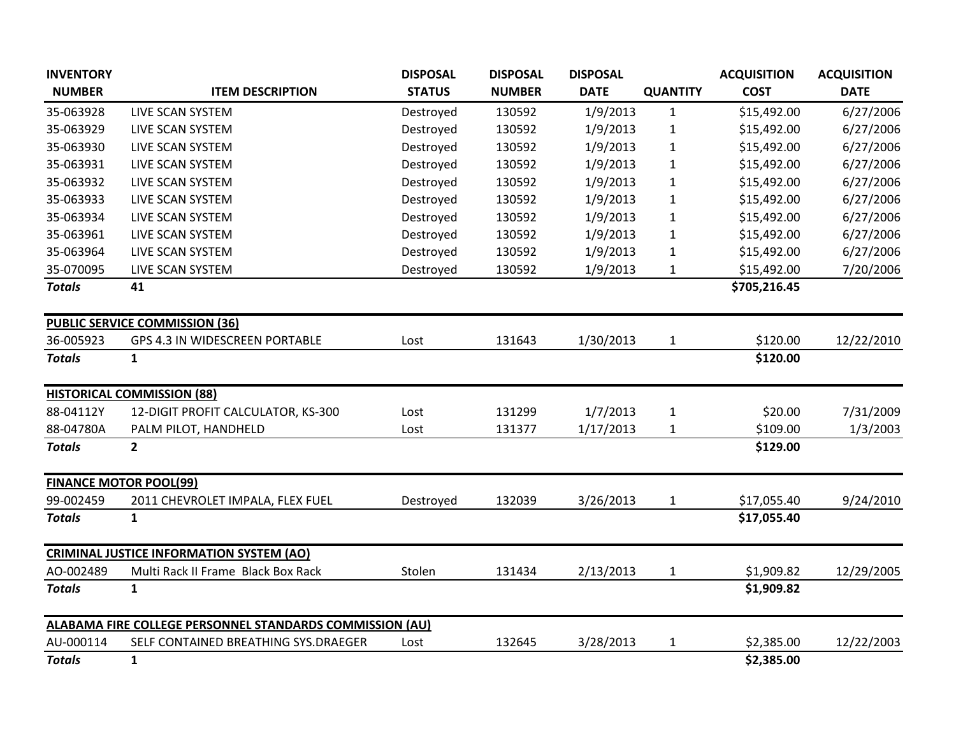| <b>INVENTORY</b>              |                                                          | <b>DISPOSAL</b> | <b>DISPOSAL</b> | <b>DISPOSAL</b> |                 | <b>ACQUISITION</b> | <b>ACQUISITION</b> |
|-------------------------------|----------------------------------------------------------|-----------------|-----------------|-----------------|-----------------|--------------------|--------------------|
| <b>NUMBER</b>                 | <b>ITEM DESCRIPTION</b>                                  | <b>STATUS</b>   | <b>NUMBER</b>   | <b>DATE</b>     | <b>QUANTITY</b> | <b>COST</b>        | <b>DATE</b>        |
| 35-063928                     | LIVE SCAN SYSTEM                                         | Destroyed       | 130592          | 1/9/2013        | $\mathbf{1}$    | \$15,492.00        | 6/27/2006          |
| 35-063929                     | LIVE SCAN SYSTEM                                         | Destroyed       | 130592          | 1/9/2013        | $\mathbf{1}$    | \$15,492.00        | 6/27/2006          |
| 35-063930                     | LIVE SCAN SYSTEM                                         | Destroyed       | 130592          | 1/9/2013        | $\mathbf 1$     | \$15,492.00        | 6/27/2006          |
| 35-063931                     | LIVE SCAN SYSTEM                                         | Destroyed       | 130592          | 1/9/2013        | 1               | \$15,492.00        | 6/27/2006          |
| 35-063932                     | LIVE SCAN SYSTEM                                         | Destroyed       | 130592          | 1/9/2013        | 1               | \$15,492.00        | 6/27/2006          |
| 35-063933                     | LIVE SCAN SYSTEM                                         | Destroyed       | 130592          | 1/9/2013        | 1               | \$15,492.00        | 6/27/2006          |
| 35-063934                     | LIVE SCAN SYSTEM                                         | Destroyed       | 130592          | 1/9/2013        | 1               | \$15,492.00        | 6/27/2006          |
| 35-063961                     | LIVE SCAN SYSTEM                                         | Destroyed       | 130592          | 1/9/2013        | 1               | \$15,492.00        | 6/27/2006          |
| 35-063964                     | LIVE SCAN SYSTEM                                         | Destroyed       | 130592          | 1/9/2013        | 1               | \$15,492.00        | 6/27/2006          |
| 35-070095                     | LIVE SCAN SYSTEM                                         | Destroyed       | 130592          | 1/9/2013        | 1               | \$15,492.00        | 7/20/2006          |
| <b>Totals</b>                 | 41                                                       |                 |                 |                 |                 | \$705,216.45       |                    |
|                               | <b>PUBLIC SERVICE COMMISSION (36)</b>                    |                 |                 |                 |                 |                    |                    |
| 36-005923                     | GPS 4.3 IN WIDESCREEN PORTABLE                           | Lost            | 131643          | 1/30/2013       | 1               | \$120.00           | 12/22/2010         |
| <b>Totals</b>                 | $\mathbf{1}$                                             |                 |                 |                 |                 | \$120.00           |                    |
|                               | <b>HISTORICAL COMMISSION (88)</b>                        |                 |                 |                 |                 |                    |                    |
| 88-04112Y                     | 12-DIGIT PROFIT CALCULATOR, KS-300                       | Lost            | 131299          | 1/7/2013        | $\mathbf{1}$    | \$20.00            | 7/31/2009          |
| 88-04780A                     | PALM PILOT, HANDHELD                                     | Lost            | 131377          | 1/17/2013       | $\mathbf 1$     | \$109.00           | 1/3/2003           |
| <b>Totals</b>                 | $\mathbf{2}$                                             |                 |                 |                 |                 | \$129.00           |                    |
| <b>FINANCE MOTOR POOL(99)</b> |                                                          |                 |                 |                 |                 |                    |                    |
| 99-002459                     | 2011 CHEVROLET IMPALA, FLEX FUEL                         | Destroyed       | 132039          | 3/26/2013       | 1               | \$17,055.40        | 9/24/2010          |
| <b>Totals</b>                 | $\mathbf{1}$                                             |                 |                 |                 |                 | \$17,055.40        |                    |
|                               | <b>CRIMINAL JUSTICE INFORMATION SYSTEM (AO)</b>          |                 |                 |                 |                 |                    |                    |
| AO-002489                     | Multi Rack II Frame Black Box Rack                       | Stolen          | 131434          | 2/13/2013       | $\mathbf 1$     | \$1,909.82         | 12/29/2005         |
| <b>Totals</b>                 | $\mathbf{1}$                                             |                 |                 |                 |                 | \$1,909.82         |                    |
|                               | ALABAMA FIRE COLLEGE PERSONNEL STANDARDS COMMISSION (AU) |                 |                 |                 |                 |                    |                    |
| AU-000114                     | SELF CONTAINED BREATHING SYS.DRAEGER                     | Lost            | 132645          | 3/28/2013       | 1               | \$2,385.00         | 12/22/2003         |
| <b>Totals</b>                 | $\mathbf{1}$                                             |                 |                 |                 |                 | \$2,385.00         |                    |